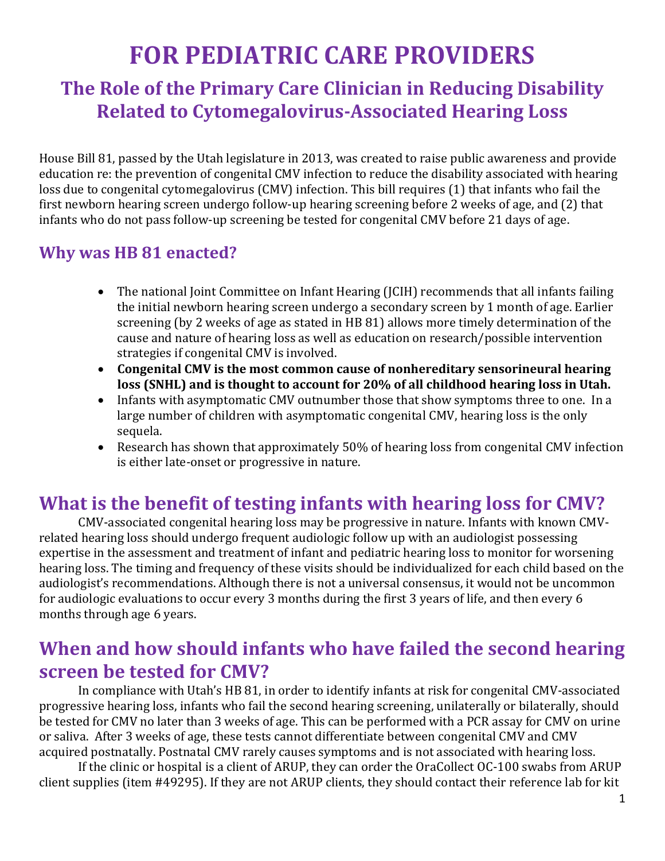# **FOR PEDIATRIC CARE PROVIDERS**

### **The Role of the Primary Care Clinician in Reducing Disability Related to Cytomegalovirus-Associated Hearing Loss**

House Bill 81, passed by the Utah legislature in 2013, was created to raise public awareness and provide education re: the prevention of congenital CMV infection to reduce the disability associated with hearing loss due to congenital cytomegalovirus (CMV) infection. This bill requires (1) that infants who fail the first newborn hearing screen undergo follow-up hearing screening before 2 weeks of age, and (2) that infants who do not pass follow-up screening be tested for congenital CMV before 21 days of age.

### **Why was HB 81 enacted?**

- The national Joint Committee on Infant Hearing (JCIH) recommends that all infants failing the initial newborn hearing screen undergo a secondary screen by 1 month of age. Earlier screening (by 2 weeks of age as stated in HB 81) allows more timely determination of the cause and nature of hearing loss as well as education on research/possible intervention strategies if congenital CMV is involved.
- **Congenital CMV is the most common cause of nonhereditary sensorineural hearing loss (SNHL) and is thought to account for 20% of all childhood hearing loss in Utah.**
- Infants with asymptomatic CMV outnumber those that show symptoms three to one. In a large number of children with asymptomatic congenital CMV, hearing loss is the only sequela.
- Research has shown that approximately 50% of hearing loss from congenital CMV infection is either late-onset or progressive in nature.

### **What is the benefit of testing infants with hearing loss for CMV?**

CMV-associated congenital hearing loss may be progressive in nature. Infants with known CMVrelated hearing loss should undergo frequent audiologic follow up with an audiologist possessing expertise in the assessment and treatment of infant and pediatric hearing loss to monitor for worsening hearing loss. The timing and frequency of these visits should be individualized for each child based on the audiologist's recommendations. Although there is not a universal consensus, it would not be uncommon for audiologic evaluations to occur every 3 months during the first 3 years of life, and then every 6 months through age 6 years.

### **When and how should infants who have failed the second hearing screen be tested for CMV?**

In compliance with Utah's HB 81, in order to identify infants at risk for congenital CMV-associated progressive hearing loss, infants who fail the second hearing screening, unilaterally or bilaterally, should be tested for CMV no later than 3 weeks of age. This can be performed with a PCR assay for CMV on urine or saliva. After 3 weeks of age, these tests cannot differentiate between congenital CMV and CMV acquired postnatally. Postnatal CMV rarely causes symptoms and is not associated with hearing loss.

If the clinic or hospital is a client of ARUP, they can order the OraCollect OC-100 swabs from ARUP client supplies (item #49295). If they are not ARUP clients, they should contact their reference lab for kit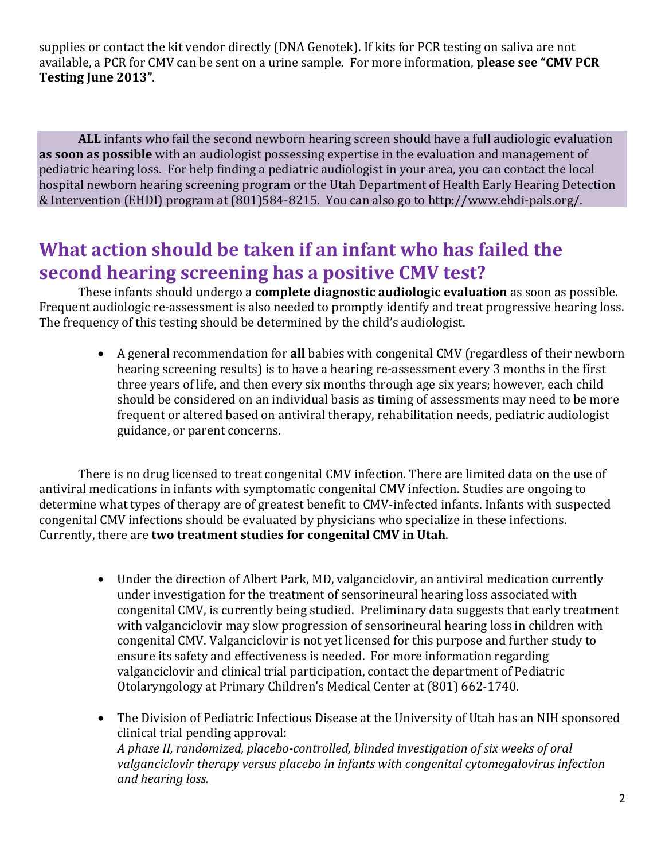supplies or contact the kit vendor directly (DNA Genotek). If kits for PCR testing on saliva are not available, a PCR for CMV can be sent on a urine sample. For more information, **please see "CMV PCR Testing June 2013"**.

**ALL** infants who fail the second newborn hearing screen should have a full audiologic evaluation **as soon as possible** with an audiologist possessing expertise in the evaluation and management of pediatric hearing loss. For help finding a pediatric audiologist in your area, you can contact the local hospital newborn hearing screening program or the Utah Department of Health Early Hearing Detection & Intervention (EHDI) program at (801)584-8215. You can also go to http://www.ehdi-pals.org/.

### **What action should be taken if an infant who has failed the second hearing screening has a positive CMV test?**

These infants should undergo a **complete diagnostic audiologic evaluation** as soon as possible. Frequent audiologic re-assessment is also needed to promptly identify and treat progressive hearing loss. The frequency of this testing should be determined by the child's audiologist.

 A general recommendation for **all** babies with congenital CMV (regardless of their newborn hearing screening results) is to have a hearing re-assessment every 3 months in the first three years of life, and then every six months through age six years; however, each child should be considered on an individual basis as timing of assessments may need to be more frequent or altered based on antiviral therapy, rehabilitation needs, pediatric audiologist guidance, or parent concerns.

 There is no drug licensed to treat congenital CMV infection. There are limited data on the use of antiviral medications in infants with symptomatic congenital CMV infection. Studies are ongoing to determine what types of therapy are of greatest benefit to CMV-infected infants. Infants with suspected congenital CMV infections should be evaluated by physicians who specialize in these infections. Currently, there are **two treatment studies for congenital CMV in Utah**.

- Under the direction of Albert Park, MD, valganciclovir, an antiviral medication currently under investigation for the treatment of sensorineural hearing loss associated with congenital CMV, is currently being studied. Preliminary data suggests that early treatment with valganciclovir may slow progression of sensorineural hearing loss in children with congenital CMV. Valganciclovir is not yet licensed for this purpose and further study to ensure its safety and effectiveness is needed. For more information regarding valganciclovir and clinical trial participation, contact the department of Pediatric Otolaryngology at Primary Children's Medical Center at (801) 662-1740.
- The Division of Pediatric Infectious Disease at the University of Utah has an NIH sponsored clinical trial pending approval: *A phase II, randomized, placebo-controlled, blinded investigation of six weeks of oral valganciclovir therapy versus placebo in infants with congenital cytomegalovirus infection and hearing loss.*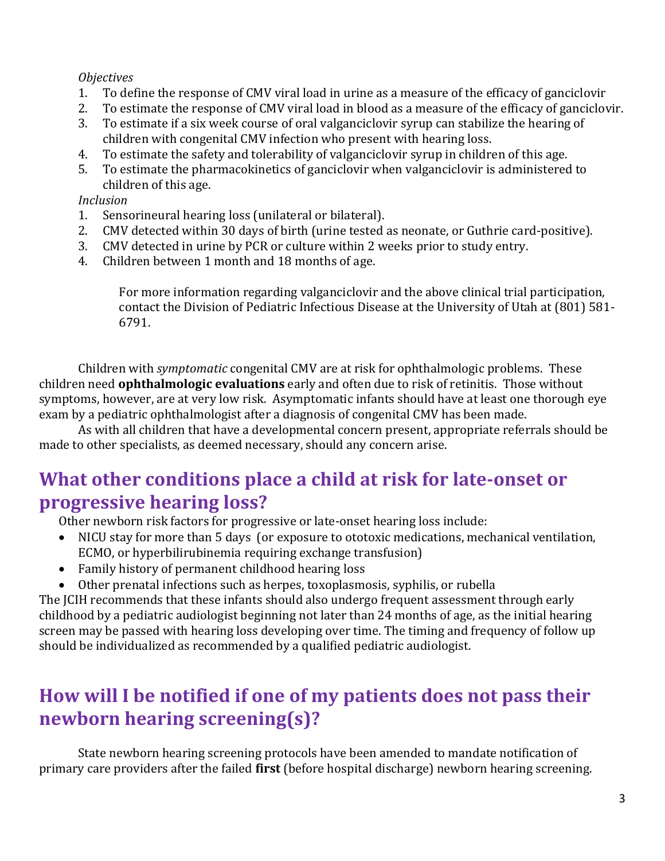#### *Objectives*

- 1. To define the response of CMV viral load in urine as a measure of the efficacy of ganciclovir
- 2. To estimate the response of CMV viral load in blood as a measure of the efficacy of ganciclovir.
- 3. To estimate if a six week course of oral valganciclovir syrup can stabilize the hearing of children with congenital CMV infection who present with hearing loss.
- 4. To estimate the safety and tolerability of valganciclovir syrup in children of this age.
- 5. To estimate the pharmacokinetics of ganciclovir when valganciclovir is administered to children of this age.

#### *Inclusion*

- 1. Sensorineural hearing loss (unilateral or bilateral).
- 2. CMV detected within 30 days of birth (urine tested as neonate, or Guthrie card-positive).
- 3. CMV detected in urine by PCR or culture within 2 weeks prior to study entry.
- 4. Children between 1 month and 18 months of age.

For more information regarding valganciclovir and the above clinical trial participation, contact the Division of Pediatric Infectious Disease at the University of Utah at (801) 581- 6791.

Children with *symptomatic* congenital CMV are at risk for ophthalmologic problems. These children need **ophthalmologic evaluations** early and often due to risk of retinitis. Those without symptoms, however, are at very low risk. Asymptomatic infants should have at least one thorough eye exam by a pediatric ophthalmologist after a diagnosis of congenital CMV has been made.

As with all children that have a developmental concern present, appropriate referrals should be made to other specialists, as deemed necessary, should any concern arise.

### **What other conditions place a child at risk for late-onset or progressive hearing loss?**

Other newborn risk factors for progressive or late-onset hearing loss include:

- NICU stay for more than 5 days (or exposure to ototoxic medications, mechanical ventilation, ECMO, or hyperbilirubinemia requiring exchange transfusion)
- Family history of permanent childhood hearing loss
- Other prenatal infections such as herpes, toxoplasmosis, syphilis, or rubella

The JCIH recommends that these infants should also undergo frequent assessment through early childhood by a pediatric audiologist beginning not later than 24 months of age, as the initial hearing screen may be passed with hearing loss developing over time. The timing and frequency of follow up should be individualized as recommended by a qualified pediatric audiologist.

## **How will I be notified if one of my patients does not pass their newborn hearing screening(s)?**

State newborn hearing screening protocols have been amended to mandate notification of primary care providers after the failed **first** (before hospital discharge) newborn hearing screening.